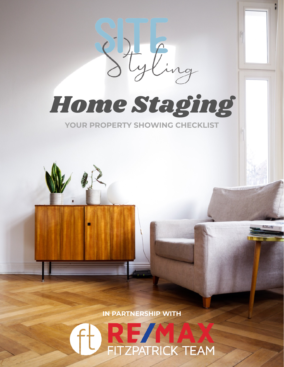

*Home Staging*

**YOUR PROPERTY SHOWING CHECKLIST**



**IN PARTNERSHIP WITH**

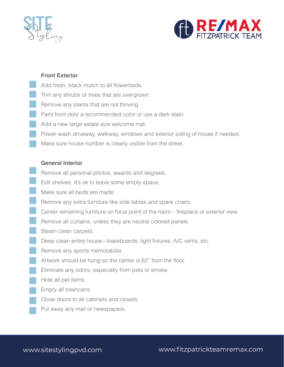



# **Front Exterior**

- Add fresh, black mulch to all flowerbeds.
- Trim any shrubs or trees that are overgrown.
- Remove any plants that are not thriving.
- Paint front door a recommended color or use a dark stain.
- Add a new large estate size welcome mat.
- Power wash driveway, walkway, windows and exterior siding of house if needed.
- Make sure house number is clearly visible from the street.

### **General Interior**

- Remove all personal photos, awards and degrees.
- Edit shelves. It's ok to leave some empty space.
- Make sure all beds are made.
- Remove any extra furniture like side tables and spare chairs.
- Center remaining furniture on focal point of the room fireplace or exterior view.
	- Remove all curtains, unless they are neutral colored panels.
	- Steam clean carpets.
	- Deep clean entire house—baseboards, light fixtures, A/C vents, etc.
- Remove any sports memorabilia.
- Artwork should be hung so the center is 62" from the floor.
- Eliminate any odors, especially from pets or smoke.
- Hide all pet items.
- Empty all trashcans.
- Close doors to all cabinets and closets.
- Put away any mail or newspapers.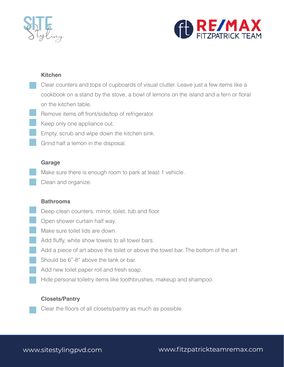



### **Kitchen**

- Clear counters and tops of cupboards of visual clutter. Leave just a few items like a cookbook on a stand by the stove, a bowl of lemons on the island and a fern or floral on the kitchen table.
- Remove items off front/side/top of refrigerator.
- Keep only one appliance out.
	- **Empty, scrub and wipe down the kitchen sink.**
	- Grind half a lemon in the disposal.

#### **Garage**

Make sure there is enough room to park at least 1 vehicle.

Clean and organize.

#### **Bathrooms**

- Deep clean counters, mirror, toilet, tub and floor.
- **Open shower curtain half way.**
- Make sure toilet lids are down.
- Add fluffy, white show towels to all towel bars.
- Add a piece of art above the toilet or above the towel bar. The bottom of the art
- Should be 6"-8" above the tank or bar.
- Add new toilet paper roll and fresh soap.
- Hide personal toiletry items like toothbrushes, makeup and shampoo.

### **Closets/Pantry**

Clear the floors of all closets/pantry as much as possible.